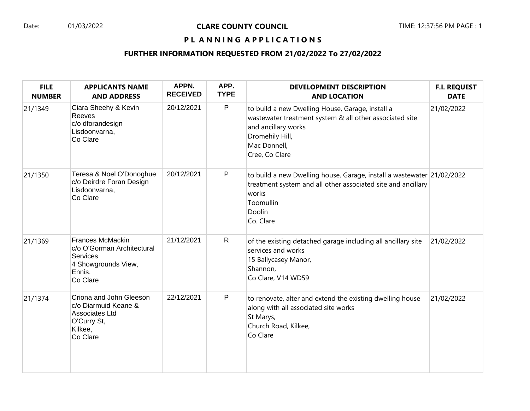## PL ANNING APPLICATIONS

| <b>FILE</b><br><b>NUMBER</b> | <b>APPLICANTS NAME</b><br><b>AND ADDRESS</b>                                                                          | APPN.<br><b>RECEIVED</b> | APP.<br><b>TYPE</b> | <b>DEVELOPMENT DESCRIPTION</b><br><b>AND LOCATION</b>                                                                                                                                   | <b>F.I. REQUEST</b><br><b>DATE</b> |
|------------------------------|-----------------------------------------------------------------------------------------------------------------------|--------------------------|---------------------|-----------------------------------------------------------------------------------------------------------------------------------------------------------------------------------------|------------------------------------|
| 21/1349                      | Ciara Sheehy & Kevin<br>Reeves<br>c/o dforandesign<br>Lisdoonvarna,<br>Co Clare                                       | 20/12/2021               | P                   | to build a new Dwelling House, Garage, install a<br>wastewater treatment system & all other associated site<br>and ancillary works<br>Dromehily Hill,<br>Mac Donnell,<br>Cree, Co Clare | 21/02/2022                         |
| 21/1350                      | Teresa & Noel O'Donoghue<br>c/o Deirdre Foran Design<br>Lisdoonvarna,<br>Co Clare                                     | 20/12/2021               | P                   | to build a new Dwelling house, Garage, install a wastewater 21/02/2022<br>treatment system and all other associated site and ancillary<br>works<br>Toomullin<br>Doolin<br>Co. Clare     |                                    |
| 21/1369                      | <b>Frances McMackin</b><br>c/o O'Gorman Architectural<br><b>Services</b><br>4 Showgrounds View,<br>Ennis,<br>Co Clare | 21/12/2021               | $\mathsf{R}$        | of the existing detached garage including all ancillary site<br>services and works<br>15 Ballycasey Manor,<br>Shannon,<br>Co Clare, V14 WD59                                            | 21/02/2022                         |
| 21/1374                      | Criona and John Gleeson<br>c/o Diarmuid Keane &<br>Associates Ltd<br>O'Curry St,<br>Kilkee,<br>Co Clare               | 22/12/2021               | P                   | to renovate, alter and extend the existing dwelling house<br>along with all associated site works<br>St Marys,<br>Church Road, Kilkee,<br>Co Clare                                      | 21/02/2022                         |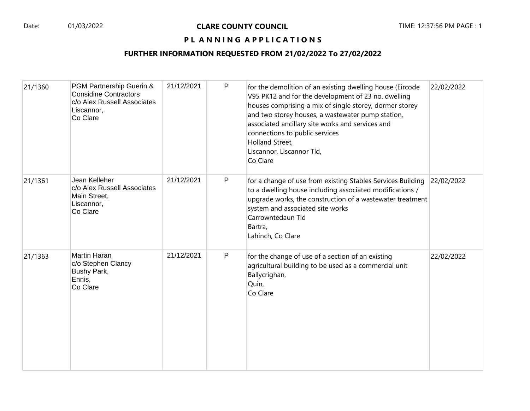### PL ANNING APPLICATIONS

| 21/1360 | PGM Partnership Guerin &<br><b>Considine Contractors</b><br>c/o Alex Russell Associates<br>Liscannor,<br>Co Clare | 21/12/2021 | P | for the demolition of an existing dwelling house (Eircode<br>V95 PK12 and for the development of 23 no. dwelling<br>houses comprising a mix of single storey, dormer storey<br>and two storey houses, a wastewater pump station,<br>associated ancillary site works and services and<br>connections to public services<br>Holland Street,<br>Liscannor, Liscannor Tld,<br>Co Clare | 22/02/2022 |
|---------|-------------------------------------------------------------------------------------------------------------------|------------|---|------------------------------------------------------------------------------------------------------------------------------------------------------------------------------------------------------------------------------------------------------------------------------------------------------------------------------------------------------------------------------------|------------|
| 21/1361 | Jean Kelleher<br>c/o Alex Russell Associates<br>Main Street,<br>Liscannor,<br>Co Clare                            | 21/12/2021 | P | for a change of use from existing Stables Services Building<br>to a dwelling house including associated modifications /<br>upgrade works, the construction of a wastewater treatment<br>system and associated site works<br>Carrowntedaun Tld<br>Bartra,<br>Lahinch, Co Clare                                                                                                      | 22/02/2022 |
| 21/1363 | Martin Haran<br>c/o Stephen Clancy<br>Bushy Park,<br>Ennis,<br>Co Clare                                           | 21/12/2021 | P | for the change of use of a section of an existing<br>agricultural building to be used as a commercial unit<br>Ballycrighan,<br>Quin,<br>Co Clare                                                                                                                                                                                                                                   | 22/02/2022 |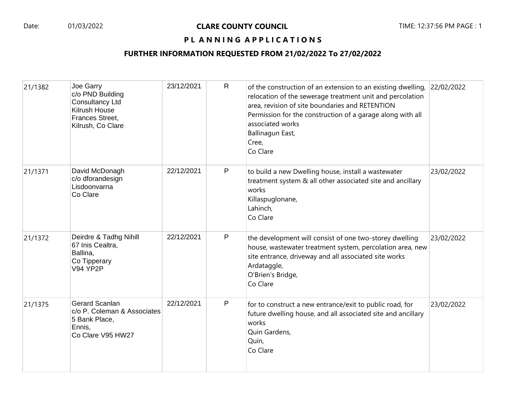### PL ANNING APPLICATIONS

| 21/1382 | Joe Garry<br>c/o PND Building<br>Consultancy Ltd<br>Kilrush House<br>Frances Street,<br>Kilrush, Co Clare | 23/12/2021 | $\mathsf{R}$ | of the construction of an extension to an existing dwelling,<br>relocation of the sewerage treatment unit and percolation<br>area, revision of site boundaries and RETENTION<br>Permission for the construction of a garage along with all<br>associated works<br>Ballinagun East,<br>Cree,<br>Co Clare | 22/02/2022 |
|---------|-----------------------------------------------------------------------------------------------------------|------------|--------------|---------------------------------------------------------------------------------------------------------------------------------------------------------------------------------------------------------------------------------------------------------------------------------------------------------|------------|
| 21/1371 | David McDonagh<br>c/o dforandesign<br>Lisdoonvarna<br>Co Clare                                            | 22/12/2021 | P            | to build a new Dwelling house, install a wastewater<br>treatment system & all other associated site and ancillary<br>works<br>Killaspuglonane,<br>Lahinch,<br>Co Clare                                                                                                                                  | 23/02/2022 |
| 21/1372 | Deirdre & Tadhg Nihill<br>67 Inis Cealtra,<br>Ballina,<br>Co Tipperary<br><b>V94 YP2P</b>                 | 22/12/2021 | P            | the development will consist of one two-storey dwelling<br>house, wastewater treatment system, percolation area, new<br>site entrance, driveway and all associated site works<br>Ardataggle,<br>O'Brien's Bridge,<br>Co Clare                                                                           | 23/02/2022 |
| 21/1375 | <b>Gerard Scanlan</b><br>c/o P. Coleman & Associates<br>5 Bank Place,<br>Ennis,<br>Co Clare V95 HW27      | 22/12/2021 | P            | for to construct a new entrance/exit to public road, for<br>future dwelling house, and all associated site and ancillary<br>works<br>Quin Gardens,<br>Quin,<br>Co Clare                                                                                                                                 | 23/02/2022 |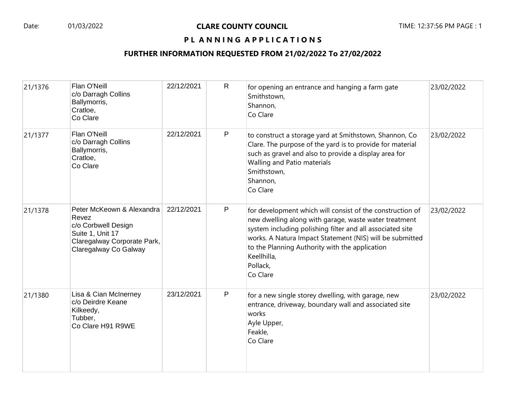#### PL ANNING APPLICATIONS

| 21/1376 | Flan O'Neill<br>c/o Darragh Collins<br>Ballymorris,<br>Cratloe,<br>Co Clare                                                           | 22/12/2021 | $\mathsf{R}$ | for opening an entrance and hanging a farm gate<br>Smithstown,<br>Shannon,<br>Co Clare                                                                                                                                                                                                                                               | 23/02/2022 |
|---------|---------------------------------------------------------------------------------------------------------------------------------------|------------|--------------|--------------------------------------------------------------------------------------------------------------------------------------------------------------------------------------------------------------------------------------------------------------------------------------------------------------------------------------|------------|
| 21/1377 | Flan O'Neill<br>c/o Darragh Collins<br>Ballymorris,<br>Cratloe,<br>Co Clare                                                           | 22/12/2021 | P            | to construct a storage yard at Smithstown, Shannon, Co<br>Clare. The purpose of the yard is to provide for material<br>such as gravel and also to provide a display area for<br>Walling and Patio materials<br>Smithstown,<br>Shannon,<br>Co Clare                                                                                   | 23/02/2022 |
| 21/1378 | Peter McKeown & Alexandra<br>Revez<br>c/o Corbwell Design<br>Suite 1, Unit 17<br>Claregalway Corporate Park,<br>Claregalway Co Galway | 22/12/2021 | P            | for development which will consist of the construction of<br>new dwelling along with garage, waste water treatment<br>system including polishing filter and all associated site<br>works. A Natura Impact Statement (NIS) will be submitted<br>to the Planning Authority with the application<br>Keellhilla,<br>Pollack,<br>Co Clare | 23/02/2022 |
| 21/1380 | Lisa & Cian McInerney<br>c/o Deirdre Keane<br>Kilkeedy,<br>Tubber,<br>Co Clare H91 R9WE                                               | 23/12/2021 | P            | for a new single storey dwelling, with garage, new<br>entrance, driveway, boundary wall and associated site<br>works<br>Ayle Upper,<br>Feakle,<br>Co Clare                                                                                                                                                                           | 23/02/2022 |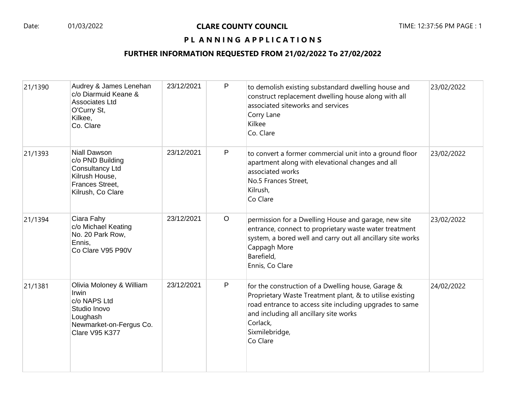#### PL ANNING APPLICATIONS

| 21/1390 | Audrey & James Lenehan<br>c/o Diarmuid Keane &<br>Associates Ltd<br>O'Curry St,<br>Kilkee,<br>Co. Clare                           | 23/12/2021 | P            | to demolish existing substandard dwelling house and<br>construct replacement dwelling house along with all<br>associated siteworks and services<br>Corry Lane<br>Kilkee<br>Co. Clare                                                                          | 23/02/2022 |
|---------|-----------------------------------------------------------------------------------------------------------------------------------|------------|--------------|---------------------------------------------------------------------------------------------------------------------------------------------------------------------------------------------------------------------------------------------------------------|------------|
| 21/1393 | Niall Dawson<br>c/o PND Building<br>Consultancy Ltd<br>Kilrush House,<br>Frances Street,<br>Kilrush, Co Clare                     | 23/12/2021 | P            | to convert a former commercial unit into a ground floor<br>apartment along with elevational changes and all<br>associated works<br>No.5 Frances Street,<br>Kilrush,<br>Co Clare                                                                               | 23/02/2022 |
| 21/1394 | Ciara Fahy<br>c/o Michael Keating<br>No. 20 Park Row,<br>Ennis,<br>Co Clare V95 P90V                                              | 23/12/2021 | $\circ$      | permission for a Dwelling House and garage, new site<br>entrance, connect to proprietary waste water treatment<br>system, a bored well and carry out all ancillary site works<br>Cappagh More<br>Barefield,<br>Ennis, Co Clare                                | 23/02/2022 |
| 21/1381 | Olivia Moloney & William<br>Irwin<br>c/o NAPS Ltd<br>Studio Inovo<br>Loughash<br>Newmarket-on-Fergus Co.<br><b>Clare V95 K377</b> | 23/12/2021 | $\mathsf{P}$ | for the construction of a Dwelling house, Garage &<br>Proprietary Waste Treatment plant, & to utilise existing<br>road entrance to access site including upgrades to same<br>and including all ancillary site works<br>Corlack,<br>Sixmilebridge,<br>Co Clare | 24/02/2022 |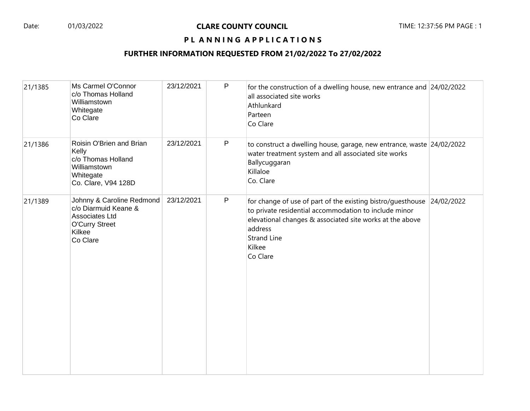### PL ANNING APPLICATIONS

| 21/1385 | Ms Carmel O'Connor<br>c/o Thomas Holland<br>Williamstown<br>Whitegate<br>Co Clare                                  | 23/12/2021 | P            | for the construction of a dwelling house, new entrance and 24/02/2022<br>all associated site works<br>Athlunkard<br>Parteen<br>Co Clare                                                                                                            |  |
|---------|--------------------------------------------------------------------------------------------------------------------|------------|--------------|----------------------------------------------------------------------------------------------------------------------------------------------------------------------------------------------------------------------------------------------------|--|
| 21/1386 | Roisin O'Brien and Brian<br>Kelly<br>c/o Thomas Holland<br>Williamstown<br>Whitegate<br>Co. Clare, V94 128D        | 23/12/2021 | P            | to construct a dwelling house, garage, new entrance, waste 24/02/2022<br>water treatment system and all associated site works<br>Ballycuggaran<br>Killaloe<br>Co. Clare                                                                            |  |
| 21/1389 | Johnny & Caroline Redmond<br>c/o Diarmuid Keane &<br>Associates Ltd<br><b>O'Curry Street</b><br>Kilkee<br>Co Clare | 23/12/2021 | $\mathsf{P}$ | for change of use of part of the existing bistro/guesthouse 24/02/2022<br>to private residential accommodation to include minor<br>elevational changes & associated site works at the above<br>address<br><b>Strand Line</b><br>Kilkee<br>Co Clare |  |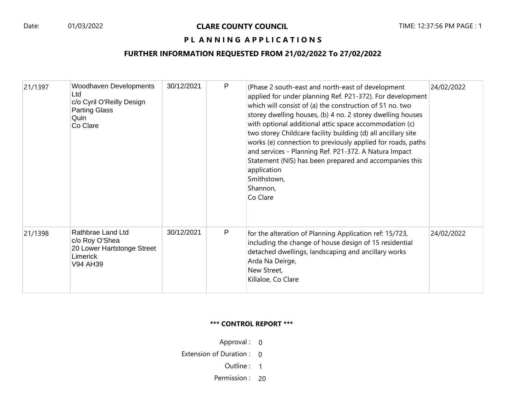## PL ANNING APPLICATIONS

## **FURTHER INFORMATION REQUESTED FROM 21/02/2022 To 27/02/2022**

| 21/1397 | Woodhaven Developments<br>Ltd<br>c/o Cyril O'Reilly Design<br><b>Parting Glass</b><br>Quin<br>Co Clare | 30/12/2021 | P | (Phase 2 south-east and north-east of development<br>applied for under planning Ref. P21-372). For development<br>which will consist of (a) the construction of 51 no. two<br>storey dwelling houses, (b) 4 no. 2 storey dwelling houses<br>with optional additional attic space accommodation (c)<br>two storey Childcare facility building (d) all ancillary site<br>works (e) connection to previously applied for roads, paths<br>and services - Planning Ref. P21-372. A Natura Impact<br>Statement (NIS) has been prepared and accompanies this<br>application<br>Smithstown,<br>Shannon,<br>Co Clare | 24/02/2022 |
|---------|--------------------------------------------------------------------------------------------------------|------------|---|-------------------------------------------------------------------------------------------------------------------------------------------------------------------------------------------------------------------------------------------------------------------------------------------------------------------------------------------------------------------------------------------------------------------------------------------------------------------------------------------------------------------------------------------------------------------------------------------------------------|------------|
| 21/1398 | Rathbrae Land Ltd<br>c/o Roy O'Shea<br>20 Lower Hartstonge Street<br>Limerick<br>V94 AH39              | 30/12/2021 | P | for the alteration of Planning Application ref: 15/723,<br>including the change of house design of 15 residential<br>detached dwellings, landscaping and ancillary works<br>Arda Na Deirge,<br>New Street,<br>Killaloe, Co Clare                                                                                                                                                                                                                                                                                                                                                                            | 24/02/2022 |

#### **\*\*\* CONTROL REPORT \*\*\***

Approval : 0

Extension of Duration : 0

Outline : 1

Permission : 20